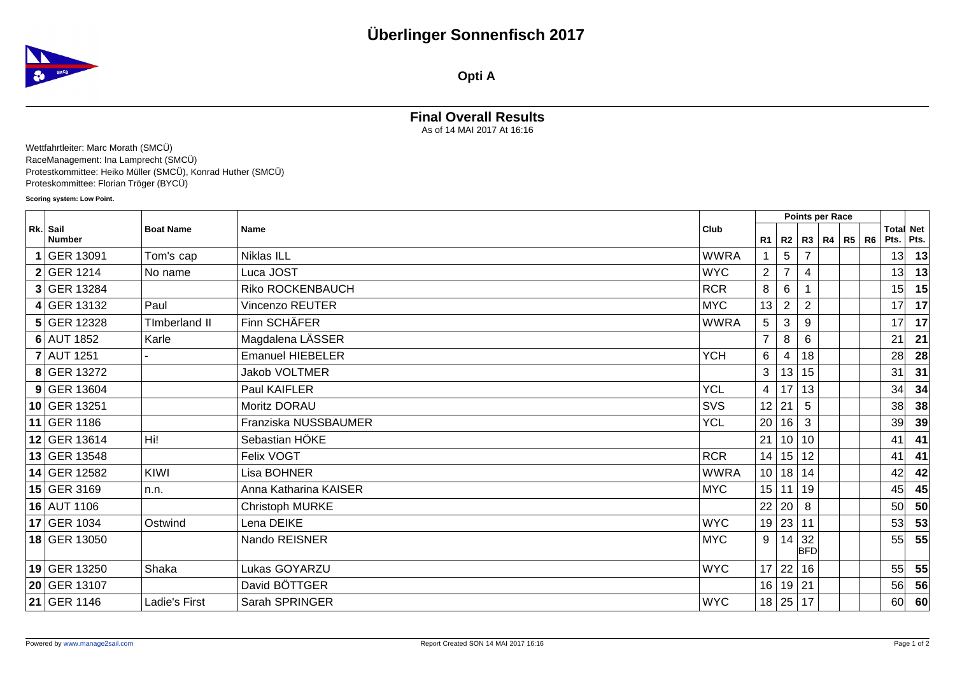## **Überlinger Sonnenfisch 2017**



**Opti A**

## **Final Overall Results**

As of 14 MAI 2017 At 16:16

Wettfahrtleiter: Marc Morath (SMCÜ) RaceManagement: Ina Lamprecht (SMCÜ) Protestkommittee: Heiko Müller (SMCÜ), Konrad Huther (SMCÜ) Proteskommittee: Florian Tröger (BYCÜ)

**Scoring system: Low Point.**

|  |                           |                      |                         | Points per Race |                  |                 |                   |  |  |  |                               |    |
|--|---------------------------|----------------------|-------------------------|-----------------|------------------|-----------------|-------------------|--|--|--|-------------------------------|----|
|  | Rk. Sail<br><b>Number</b> | <b>Boat Name</b>     | Name                    | Club            | R1               | R2              | R3   R4   R5   R6 |  |  |  | <b>Total Net</b><br>Pts. Pts. |    |
|  | GER 13091                 | Tom's cap            | <b>Niklas ILL</b>       | <b>WWRA</b>     |                  | 5               |                   |  |  |  | 13                            | 13 |
|  | 2 GER 1214                | No name              | Luca JOST               | <b>WYC</b>      | $\overline{2}$   | $\overline{7}$  | 4                 |  |  |  | 13                            | 13 |
|  | 3 GER 13284               |                      | Riko ROCKENBAUCH        | <b>RCR</b>      | 8                | 6               |                   |  |  |  | 15                            | 15 |
|  | 4 GER 13132               | Paul                 | <b>Vincenzo REUTER</b>  | <b>MYC</b>      | 13               | 2               | 2                 |  |  |  | 17                            | 17 |
|  | 5 GER 12328               | <b>TImberland II</b> | Finn SCHÄFER            | <b>WWRA</b>     | 5                | 3               | 9                 |  |  |  | 17                            | 17 |
|  | $6$ AUT 1852              | Karle                | Magdalena LÄSSER        |                 | $\overline{7}$   | 8               | 6                 |  |  |  | 21                            | 21 |
|  | $7$ AUT 1251              |                      | <b>Emanuel HIEBELER</b> | <b>YCH</b>      | 6                |                 | 18                |  |  |  | 28                            | 28 |
|  | 8 GER 13272               |                      | <b>Jakob VOLTMER</b>    |                 | 3                | 13              | 15                |  |  |  | 31                            | 31 |
|  | $9$ GER 13604             |                      | Paul KAIFLER            | <b>YCL</b>      | $\overline{4}$   | 17              | 13                |  |  |  | 34                            | 34 |
|  | 10 GER 13251              |                      | Moritz DORAU            | <b>SVS</b>      | 12               | 21              | 5                 |  |  |  | 38                            | 38 |
|  | 11 GER 1186               |                      | Franziska NUSSBAUMER    | <b>YCL</b>      | 20               | 16              | 3                 |  |  |  | 39                            | 39 |
|  | 12 GER 13614              | Hi!                  | Sebastian HÖKE          |                 | 21               | 10 <sup>1</sup> | 10                |  |  |  | 41                            | 41 |
|  | 13 GER 13548              |                      | Felix VOGT              | <b>RCR</b>      | 14               | 15              | 12                |  |  |  | 41                            | 41 |
|  | 14 GER 12582              | KIWI                 | Lisa BOHNER             | <b>WWRA</b>     | 10 <sup>1</sup>  | 18              | 14                |  |  |  | 42                            | 42 |
|  | 15 GER 3169               | n.n.                 | Anna Katharina KAISER   | <b>MYC</b>      | 15 <sub>15</sub> | 11              | 19                |  |  |  | 45                            | 45 |
|  | 16 AUT 1106               |                      | Christoph MURKE         |                 | 22               | 20              | 8                 |  |  |  | 50                            | 50 |
|  | 17 GER 1034               | Ostwind              | Lena DEIKE              | <b>WYC</b>      | 19               | 23              | 11                |  |  |  | 53                            | 53 |
|  | 18 GER 13050              |                      | Nando REISNER           | <b>MYC</b>      | 9                | 14              | 32<br><b>BFD</b>  |  |  |  | 55                            | 55 |
|  |                           |                      |                         |                 |                  |                 |                   |  |  |  |                               |    |
|  | 19 GER 13250              | Shaka                | Lukas GOYARZU           | <b>WYC</b>      | 17               | 22              | 16                |  |  |  | 55                            | 55 |
|  | 20 GER 13107              |                      | David BÖTTGER           |                 | 16               | 19              | 21                |  |  |  | 56                            | 56 |
|  | 21 GER 1146               | Ladie's First        | Sarah SPRINGER          | <b>WYC</b>      |                  | 18 25 17        |                   |  |  |  | 60                            | 60 |